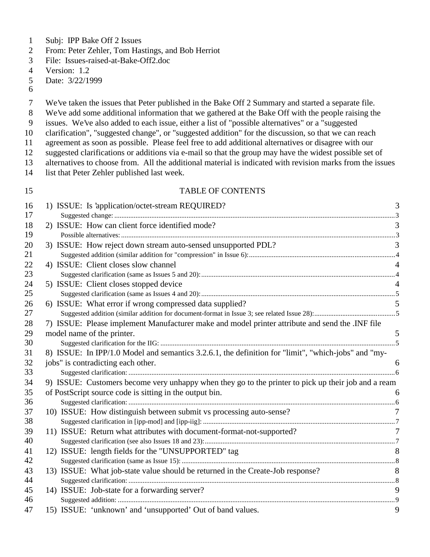- Subj: IPP Bake Off 2 Issues
- From: Peter Zehler, Tom Hastings, and Bob Herriot
- File: Issues-raised-at-Bake-Off2.doc
- Version: 1.2
- Date: 3/22/1999
- 
- We've taken the issues that Peter published in the Bake Off 2 Summary and started a separate file.
- We've add some additional information that we gathered at the Bake Off with the people raising the
- issues. We've also added to each issue, either a list of "possible alternatives" or a "suggested
- clarification", "suggested change", or "suggested addition" for the discussion, so that we can reach
- agreement as soon as possible. Please feel free to add additional alternatives or disagree with our
- suggested clarifications or additions via e-mail so that the group may have the widest possible set of
- alternatives to choose from. All the additional material is indicated with revision marks from the issues
- list that Peter Zehler published last week.

#### 15 TABLE OF CONTENTS

| 16 | 1) ISSUE: Is 'application/octet-stream REQUIRED?                                                    | 3              |
|----|-----------------------------------------------------------------------------------------------------|----------------|
| 17 |                                                                                                     |                |
| 18 | 2) ISSUE: How can client force identified mode?                                                     | 3              |
| 19 |                                                                                                     |                |
| 20 | 3) ISSUE: How reject down stream auto-sensed unsupported PDL?                                       | 3              |
| 21 |                                                                                                     |                |
| 22 | 4) ISSUE: Client closes slow channel                                                                |                |
| 23 |                                                                                                     |                |
| 24 | 5) ISSUE: Client closes stopped device                                                              | $\overline{4}$ |
| 25 |                                                                                                     |                |
| 26 | 6) ISSUE: What error if wrong compressed data supplied?                                             |                |
| 27 |                                                                                                     |                |
| 28 | 7) ISSUE: Please implement Manufacturer make and model printer attribute and send the .INF file     |                |
| 29 | model name of the printer.                                                                          | 5              |
| 30 |                                                                                                     |                |
| 31 | 8) ISSUE: In IPP/1.0 Model and semantics 3.2.6.1, the definition for "limit", "which-jobs" and "my- |                |
| 32 | jobs" is contradicting each other.                                                                  | 6              |
| 33 |                                                                                                     |                |
| 34 | 9) ISSUE: Customers become very unhappy when they go to the printer to pick up their job and a ream |                |
| 35 | of PostScript source code is sitting in the output bin.                                             | 6              |
| 36 |                                                                                                     |                |
| 37 | 10) ISSUE: How distinguish between submit vs processing auto-sense?                                 | 7              |
| 38 |                                                                                                     |                |
| 39 | 11) ISSUE: Return what attributes with document-format-not-supported?                               | 7              |
| 40 |                                                                                                     |                |
| 41 | 12) ISSUE: length fields for the "UNSUPPORTED" tag                                                  | 8              |
| 42 |                                                                                                     |                |
| 43 | 13) ISSUE: What job-state value should be returned in the Create-Job response?                      | 8              |
| 44 |                                                                                                     |                |
| 45 | 14) ISSUE: Job-state for a forwarding server?                                                       | 9              |
| 46 |                                                                                                     |                |
| 47 | 15) ISSUE: 'unknown' and 'unsupported' Out of band values.                                          | 9              |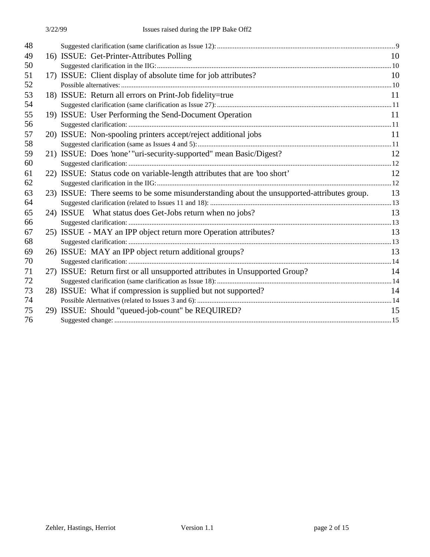| 48 |                                                                                            |    |
|----|--------------------------------------------------------------------------------------------|----|
| 49 | 16) ISSUE: Get-Printer-Attributes Polling                                                  | 10 |
| 50 |                                                                                            |    |
| 51 | 17) ISSUE: Client display of absolute time for job attributes?                             | 10 |
| 52 |                                                                                            |    |
| 53 | 18) ISSUE: Return all errors on Print-Job fidelity=true                                    | 11 |
| 54 |                                                                                            |    |
| 55 | 19) ISSUE: User Performing the Send-Document Operation                                     | 11 |
| 56 |                                                                                            |    |
| 57 | 20) ISSUE: Non-spooling printers accept/reject additional jobs                             | 11 |
| 58 |                                                                                            |    |
| 59 | 21) ISSUE: Does 'none' "uri-security-supported" mean Basic/Digest?                         | 12 |
| 60 |                                                                                            |    |
| 61 | 22) ISSUE: Status code on variable-length attributes that are 'too short'                  | 12 |
| 62 |                                                                                            |    |
| 63 | 23) ISSUE: There seems to be some misunderstanding about the unsupported-attributes group. | 13 |
| 64 |                                                                                            |    |
| 65 | 24) ISSUE What status does Get-Jobs return when no jobs?                                   | 13 |
| 66 |                                                                                            |    |
| 67 | 25) ISSUE - MAY an IPP object return more Operation attributes?                            | 13 |
| 68 |                                                                                            |    |
| 69 | 26) ISSUE: MAY an IPP object return additional groups?                                     | 13 |
| 70 |                                                                                            |    |
| 71 | 27) ISSUE: Return first or all unsupported attributes in Unsupported Group?                | 14 |
| 72 |                                                                                            |    |
| 73 | 28) ISSUE: What if compression is supplied but not supported?                              | 14 |
| 74 |                                                                                            |    |
| 75 | 29) ISSUE: Should "queued-job-count" be REQUIRED?                                          | 15 |
| 76 |                                                                                            |    |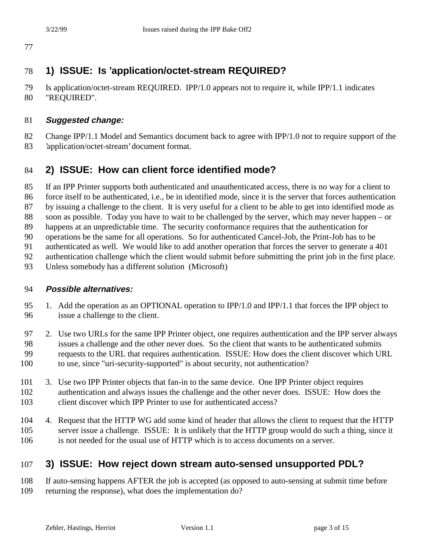# **1) ISSUE: Is 'application/octet-stream REQUIRED?**

 Is application/octet-stream REQUIRED. IPP/1.0 appears not to require it, while IPP/1.1 indicates "REQUIRED".

### **Suggested change:**

- Change IPP/1.1 Model and Semantics document back to agree with IPP/1.0 not to require support of the
- 'application/octet-stream' document format.

# **2) ISSUE: How can client force identified mode?**

- If an IPP Printer supports both authenticated and unauthenticated access, there is no way for a client to
- force itself to be authenticated, i.e., be in identified mode, since it is the server that forces authentication
- by issuing a challenge to the client. It is very useful for a client to be able to get into identified mode as
- soon as possible. Today you have to wait to be challenged by the server, which may never happen or
- happens at an unpredictable time. The security conformance requires that the authentication for
- operations be the same for all operations. So for authenticated Cancel-Job, the Print-Job has to be
- authenticated as well. We would like to add another operation that forces the server to generate a 401
- authentication challenge which the client would submit before submitting the print job in the first place.
- Unless somebody has a different solution (Microsoft)

### **Possible alternatives:**

- 95 1. Add the operation as an OPTIONAL operation to IPP/1.0 and IPP/1.1 that forces the IPP object to issue a challenge to the client.
- 2. Use two URLs for the same IPP Printer object, one requires authentication and the IPP server always issues a challenge and the other never does. So the client that wants to be authenticated submits requests to the URL that requires authentication. ISSUE: How does the client discover which URL to use, since "uri-security-supported" is about security, not authentication?
- 3. Use two IPP Printer objects that fan-in to the same device. One IPP Printer object requires authentication and always issues the challenge and the other never does. ISSUE: How does the client discover which IPP Printer to use for authenticated access?
- 4. Request that the HTTP WG add some kind of header that allows the client to request that the HTTP server issue a challenge. ISSUE: It is unlikely that the HTTP group would do such a thing, since it is not needed for the usual use of HTTP which is to access documents on a server.

# **3) ISSUE: How reject down stream auto-sensed unsupported PDL?**

 If auto-sensing happens AFTER the job is accepted (as opposed to auto-sensing at submit time before returning the response), what does the implementation do?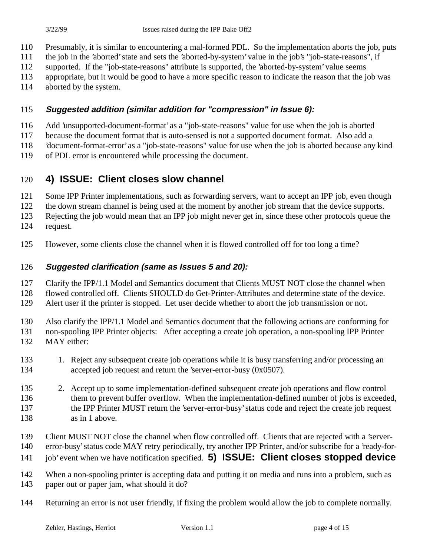- Presumably, it is similar to encountering a mal-formed PDL. So the implementation aborts the job, puts
- the job in the 'aborted' state and sets the 'aborted-by-system' value in the job's "job-state-reasons", if
- supported. If the "job-state-reasons" attribute is supported, the 'aborted-by-system' value seems
- appropriate, but it would be good to have a more specific reason to indicate the reason that the job was
- aborted by the system.

### **Suggested addition (similar addition for "compression" in Issue 6):**

- Add 'unsupported-document-format' as a "job-state-reasons" value for use when the job is aborted
- because the document format that is auto-sensed is not a supported document format. Also add a
- 'document-format-error' as a "job-state-reasons" value for use when the job is aborted because any kind
- of PDL error is encountered while processing the document.

### **4) ISSUE: Client closes slow channel**

- 121 Some IPP Printer implementations, such as forwarding servers, want to accept an IPP job, even though
- the down stream channel is being used at the moment by another job stream that the device supports.
- Rejecting the job would mean that an IPP job might never get in, since these other protocols queue the
- request.
- However, some clients close the channel when it is flowed controlled off for too long a time?

### **Suggested clarification (same as Issues 5 and 20):**

Clarify the IPP/1.1 Model and Semantics document that Clients MUST NOT close the channel when

flowed controlled off. Clients SHOULD do Get-Printer-Attributes and determine state of the device.

Alert user if the printer is stopped. Let user decide whether to abort the job transmission or not.

Also clarify the IPP/1.1 Model and Semantics document that the following actions are conforming for

non-spooling IPP Printer objects: After accepting a create job operation, a non-spooling IPP Printer

- MAY either:
- 1. Reject any subsequent create job operations while it is busy transferring and/or processing an accepted job request and return the 'server-error-busy (0x0507).
- 2. Accept up to some implementation-defined subsequent create job operations and flow control them to prevent buffer overflow. When the implementation-defined number of jobs is exceeded, the IPP Printer MUST return the 'server-error-busy' status code and reject the create job request as in 1 above.
- Client MUST NOT close the channel when flow controlled off. Clients that are rejected with a 'server-
- error-busy' status code MAY retry periodically, try another IPP Printer, and/or subscribe for a 'ready-for-
- job' event when we have notification specified. **5) ISSUE: Client closes stopped device**
- 142 When a non-spooling printer is accepting data and putting it on media and runs into a problem, such as
- paper out or paper jam, what should it do?
- Returning an error is not user friendly, if fixing the problem would allow the job to complete normally.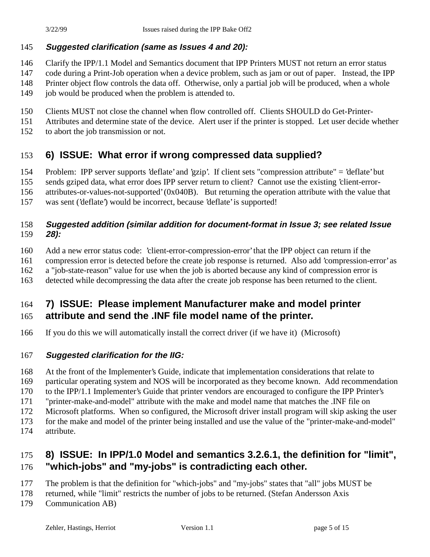### **Suggested clarification (same as Issues 4 and 20):**

- Clarify the IPP/1.1 Model and Semantics document that IPP Printers MUST not return an error status
- code during a Print-Job operation when a device problem, such as jam or out of paper. Instead, the IPP
- Printer object flow controls the data off. Otherwise, only a partial job will be produced, when a whole
- 149 job would be produced when the problem is attended to.
- Clients MUST not close the channel when flow controlled off. Clients SHOULD do Get-Printer-
- Attributes and determine state of the device. Alert user if the printer is stopped. Let user decide whether
- to abort the job transmission or not.

# **6) ISSUE: What error if wrong compressed data supplied?**

Problem: IPP server supports 'deflate' and 'gzip'. If client sets "compression attribute" = 'deflate' but

sends gziped data, what error does IPP server return to client? Cannot use the existing 'client-error-

attributes-or-values-not-supported' (0x040B). But returning the operation attribute with the value that

was sent ('deflate') would be incorrect, because 'deflate' is supported!

### **Suggested addition (similar addition for document-format in Issue 3; see related Issue 28):**

- Add a new error status code: 'client-error-compression-error' that the IPP object can return if the
- compression error is detected before the create job response is returned. Also add 'compression-error' as
- a "job-state-reason" value for use when the job is aborted because any kind of compression error is
- detected while decompressing the data after the create job response has been returned to the client.

### **7) ISSUE: Please implement Manufacturer make and model printer attribute and send the .INF file model name of the printer.**

If you do this we will automatically install the correct driver (if we have it) (Microsoft)

### **Suggested clarification for the IIG:**

- At the front of the Implementer's Guide, indicate that implementation considerations that relate to
- particular operating system and NOS will be incorporated as they become known. Add recommendation
- to the IPP/1.1 Implementer's Guide that printer vendors are encouraged to configure the IPP Printer's
- "printer-make-and-model" attribute with the make and model name that matches the .INF file on
- Microsoft platforms. When so configured, the Microsoft driver install program will skip asking the user
- for the make and model of the printer being installed and use the value of the "printer-make-and-model"
- attribute.

# **8) ISSUE: In IPP/1.0 Model and semantics 3.2.6.1, the definition for "limit", "which-jobs" and "my-jobs" is contradicting each other.**

- The problem is that the definition for "which-jobs" and "my-jobs" states that "all" jobs MUST be
- returned, while "limit" restricts the number of jobs to be returned. (Stefan Andersson Axis
- Communication AB)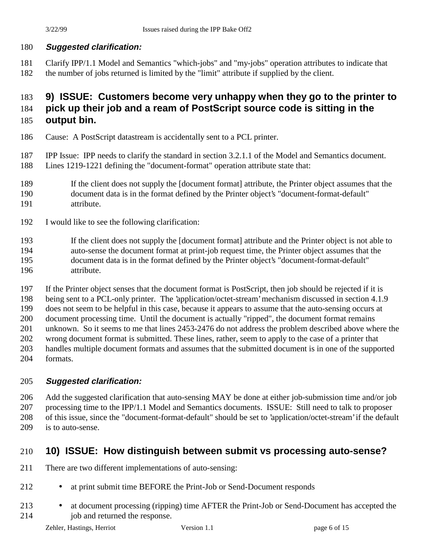# **Suggested clarification:**

 Clarify IPP/1.1 Model and Semantics "which-jobs" and "my-jobs" operation attributes to indicate that the number of jobs returned is limited by the "limit" attribute if supplied by the client.

# **9) ISSUE: Customers become very unhappy when they go to the printer to**

# **pick up their job and a ream of PostScript source code is sitting in the**

# **output bin.**

- Cause: A PostScript datastream is accidentally sent to a PCL printer.
- IPP Issue: IPP needs to clarify the standard in section 3.2.1.1 of the Model and Semantics document.
- Lines 1219-1221 defining the "document-format" operation attribute state that:
- If the client does not supply the [document format] attribute, the Printer object assumes that the
- document data is in the format defined by the Printer object's "document-format-default" attribute.
- I would like to see the following clarification:

 If the client does not supply the [document format] attribute and the Printer object is not able to auto-sense the document format at print-job request time, the Printer object assumes that the document data is in the format defined by the Printer object's "document-format-default" attribute.

If the Printer object senses that the document format is PostScript, then job should be rejected if it is

being sent to a PCL-only printer. The 'application/octet-stream' mechanism discussed in section 4.1.9

does not seem to be helpful in this case, because it appears to assume that the auto-sensing occurs at

document processing time. Until the document is actually "ripped", the document format remains

unknown. So it seems to me that lines 2453-2476 do not address the problem described above where the

wrong document format is submitted. These lines, rather, seem to apply to the case of a printer that

- handles multiple document formats and assumes that the submitted document is in one of the supported formats.
- 

# **Suggested clarification:**

 Add the suggested clarification that auto-sensing MAY be done at either job-submission time and/or job processing time to the IPP/1.1 Model and Semantics documents. ISSUE: Still need to talk to proposer of this issue, since the "document-format-default" should be set to 'application/octet-stream' if the default is to auto-sense.

# **10) ISSUE: How distinguish between submit vs processing auto-sense?**

- There are two different implementations of auto-sensing:
- 212 at print submit time BEFORE the Print-Job or Send-Document responds
- 213 at document processing (ripping) time AFTER the Print-Job or Send-Document has accepted the job and returned the response.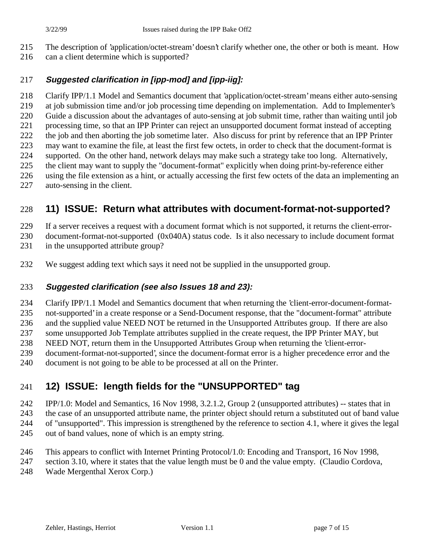- The description of 'application/octet-stream' doesn't clarify whether one, the other or both is meant. How
- can a client determine which is supported?

### **Suggested clarification in [ipp-mod] and [ipp-iig]:**

 Clarify IPP/1.1 Model and Semantics document that 'application/octet-stream' means either auto-sensing at job submission time and/or job processing time depending on implementation. Add to Implementer's Guide a discussion about the advantages of auto-sensing at job submit time, rather than waiting until job processing time, so that an IPP Printer can reject an unsupported document format instead of accepting the job and then aborting the job sometime later. Also discuss for print by reference that an IPP Printer may want to examine the file, at least the first few octets, in order to check that the document-format is supported. On the other hand, network delays may make such a strategy take too long. Alternatively, the client may want to supply the "document-format" explicitly when doing print-by-reference either using the file extension as a hint, or actually accessing the first few octets of the data an implementing an

auto-sensing in the client.

# **11) ISSUE: Return what attributes with document-format-not-supported?**

If a server receives a request with a document format which is not supported, it returns the client-error-

document-format-not-supported (0x040A) status code. Is it also necessary to include document format

- in the unsupported attribute group?
- We suggest adding text which says it need not be supplied in the unsupported group.

### **Suggested clarification (see also Issues 18 and 23):**

Clarify IPP/1.1 Model and Semantics document that when returning the 'client-error-document-format-

not-supported' in a create response or a Send-Document response, that the "document-format" attribute

and the supplied value NEED NOT be returned in the Unsupported Attributes group. If there are also

some unsupported Job Template attributes supplied in the create request, the IPP Printer MAY, but

- NEED NOT, return them in the Unsupported Attributes Group when returning the 'client-error-
- document-format-not-supported', since the document-format error is a higher precedence error and the
- document is not going to be able to be processed at all on the Printer.

# **12) ISSUE: length fields for the "UNSUPPORTED" tag**

IPP/1.0: Model and Semantics, 16 Nov 1998, 3.2.1.2, Group 2 (unsupported attributes) -- states that in

 the case of an unsupported attribute name, the printer object should return a substituted out of band value of "unsupported". This impression is strengthened by the reference to section 4.1, where it gives the legal

- 
- out of band values, none of which is an empty string.
- This appears to conflict with Internet Printing Protocol/1.0: Encoding and Transport, 16 Nov 1998,
- section 3.10, where it states that the value length must be 0 and the value empty. (Claudio Cordova,
- Wade Mergenthal Xerox Corp.)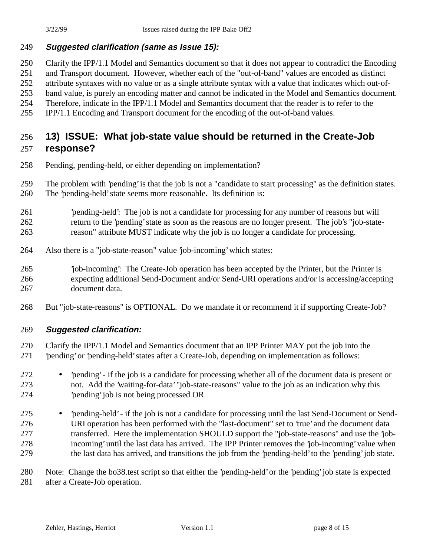#### **Suggested clarification (same as Issue 15):**

Clarify the IPP/1.1 Model and Semantics document so that it does not appear to contradict the Encoding

and Transport document. However, whether each of the "out-of-band" values are encoded as distinct

attribute syntaxes with no value or as a single attribute syntax with a value that indicates which out-of-

band value, is purely an encoding matter and cannot be indicated in the Model and Semantics document.

Therefore, indicate in the IPP/1.1 Model and Semantics document that the reader is to refer to the

IPP/1.1 Encoding and Transport document for the encoding of the out-of-band values.

### **13) ISSUE: What job-state value should be returned in the Create-Job response?**

Pending, pending-held, or either depending on implementation?

 The problem with 'pending' is that the job is not a "candidate to start processing" as the definition states. The 'pending-held' state seems more reasonable. Its definition is:

- 'pending-held': The job is not a candidate for processing for any number of reasons but will return to the 'pending' state as soon as the reasons are no longer present. The job's "job-state-reason" attribute MUST indicate why the job is no longer a candidate for processing.
- Also there is a "job-state-reason" value 'job-incoming' which states:

 'job-incoming': The Create-Job operation has been accepted by the Printer, but the Printer is expecting additional Send-Document and/or Send-URI operations and/or is accessing/accepting document data.

But "job-state-reasons" is OPTIONAL. Do we mandate it or recommend it if supporting Create-Job?

#### **Suggested clarification:**

Clarify the IPP/1.1 Model and Semantics document that an IPP Printer MAY put the job into the

- 'pending' or 'pending-held' states after a Create-Job, depending on implementation as follows:
- 'pending' if the job is a candidate for processing whether all of the document data is present or not. Add the 'waiting-for-data' "job-state-reasons" value to the job as an indication why this 'pending' job is not being processed OR
- 'pending-held' if the job is not a candidate for processing until the last Send-Document or Send- URI operation has been performed with the "last-document" set to 'true' and the document data transferred. Here the implementation SHOULD support the "job-state-reasons" and use the 'job- incoming' until the last data has arrived. The IPP Printer removes the 'job-incoming' value when the last data has arrived, and transitions the job from the 'pending-held' to the 'pending' job state.

 Note: Change the bo38.test script so that either the 'pending-held' or the 'pending' job state is expected after a Create-Job operation.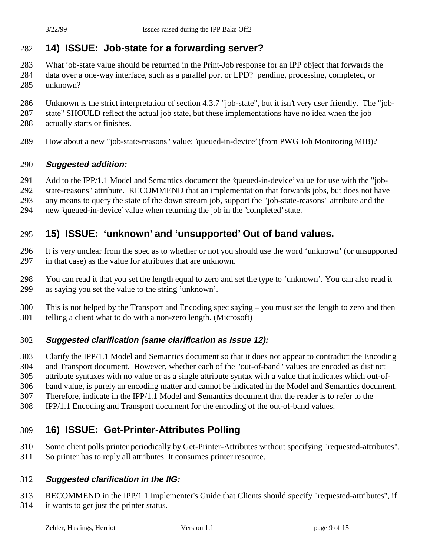# **14) ISSUE: Job-state for a forwarding server?**

- What job-state value should be returned in the Print-Job response for an IPP object that forwards the data over a one-way interface, such as a parallel port or LPD? pending, processing, completed, or
- unknown?
- Unknown is the strict interpretation of section 4.3.7 "job-state", but it isn't very user friendly. The "job-
- state" SHOULD reflect the actual job state, but these implementations have no idea when the job
- actually starts or finishes.
- How about a new "job-state-reasons" value: 'queued-in-device' (from PWG Job Monitoring MIB)?

#### **Suggested addition:**

- Add to the IPP/1.1 Model and Semantics document the 'queued-in-device' value for use with the "job-
- state-reasons" attribute. RECOMMEND that an implementation that forwards jobs, but does not have
- any means to query the state of the down stream job, support the "job-state-reasons" attribute and the
- new 'queued-in-device' value when returning the job in the 'completed' state.

### **15) ISSUE: 'unknown' and 'unsupported' Out of band values.**

- It is very unclear from the spec as to whether or not you should use the word 'unknown' (or unsupported in that case) as the value for attributes that are unknown.
- You can read it that you set the length equal to zero and set the type to 'unknown'. You can also read it as saying you set the value to the string 'unknown'.
- This is not helped by the Transport and Encoding spec saying you must set the length to zero and then telling a client what to do with a non-zero length. (Microsoft)

### **Suggested clarification (same clarification as Issue 12):**

 Clarify the IPP/1.1 Model and Semantics document so that it does not appear to contradict the Encoding and Transport document. However, whether each of the "out-of-band" values are encoded as distinct attribute syntaxes with no value or as a single attribute syntax with a value that indicates which out-of-band value, is purely an encoding matter and cannot be indicated in the Model and Semantics document.

- Therefore, indicate in the IPP/1.1 Model and Semantics document that the reader is to refer to the
- IPP/1.1 Encoding and Transport document for the encoding of the out-of-band values.

# **16) ISSUE: Get-Printer-Attributes Polling**

- Some client polls printer periodically by Get-Printer-Attributes without specifying "requested-attributes".
- So printer has to reply all attributes. It consumes printer resource.

### **Suggested clarification in the IIG:**

 RECOMMEND in the IPP/1.1 Implementer's Guide that Clients should specify "requested-attributes", if it wants to get just the printer status.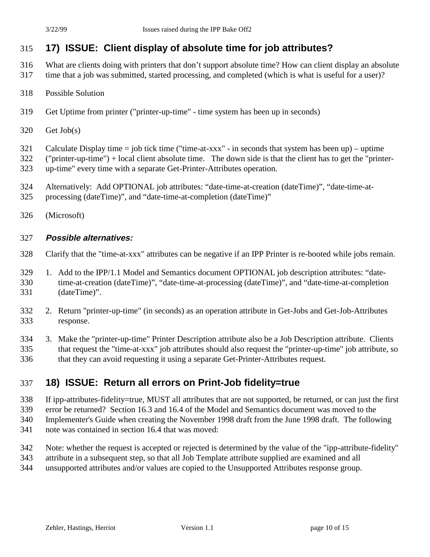# **17) ISSUE: Client display of absolute time for job attributes?**

- What are clients doing with printers that don't support absolute time? How can client display an absolute time that a job was submitted, started processing, and completed (which is what is useful for a user)?
- Possible Solution
- Get Uptime from printer ("printer-up-time" time system has been up in seconds)
- Get Job(s)
- Calculate Display time = job tick time ("time-at-xxx" in seconds that system has been up) uptime
- ("printer-up-time") + local client absolute time. The down side is that the client has to get the "printer-up-time" every time with a separate Get-Printer-Attributes operation.
- Alternatively: Add OPTIONAL job attributes: "date-time-at-creation (dateTime)", "date-time-at-processing (dateTime)", and "date-time-at-completion (dateTime)"
- (Microsoft)

#### **Possible alternatives:**

- Clarify that the "time-at-xxx" attributes can be negative if an IPP Printer is re-booted while jobs remain.
- 1. Add to the IPP/1.1 Model and Semantics document OPTIONAL job description attributes: "date- time-at-creation (dateTime)", "date-time-at-processing (dateTime)", and "date-time-at-completion (dateTime)".
- 2. Return "printer-up-time" (in seconds) as an operation attribute in Get-Jobs and Get-Job-Attributes response.
- 3. Make the "printer-up-time" Printer Description attribute also be a Job Description attribute. Clients that request the "time-at-xxx" job attributes should also request the "printer-up-time" job attribute, so that they can avoid requesting it using a separate Get-Printer-Attributes request.

### **18) ISSUE: Return all errors on Print-Job fidelity=true**

- If ipp-attributes-fidelity=true, MUST all attributes that are not supported, be returned, or can just the first
- error be returned? Section 16.3 and 16.4 of the Model and Semantics document was moved to the
- Implementer's Guide when creating the November 1998 draft from the June 1998 draft. The following
- note was contained in section 16.4 that was moved:
- Note: whether the request is accepted or rejected is determined by the value of the "ipp-attribute-fidelity"
- attribute in a subsequent step, so that all Job Template attribute supplied are examined and all
- unsupported attributes and/or values are copied to the Unsupported Attributes response group.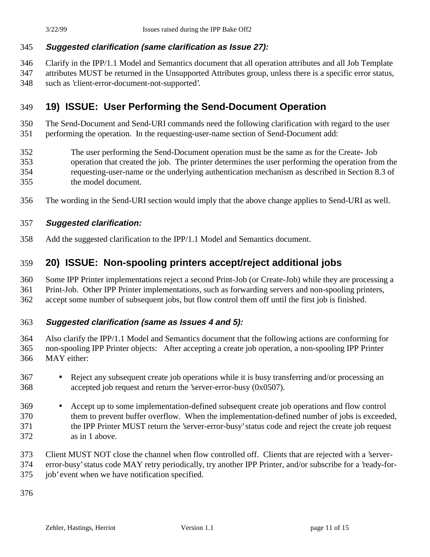#### **Suggested clarification (same clarification as Issue 27):**

Clarify in the IPP/1.1 Model and Semantics document that all operation attributes and all Job Template

 attributes MUST be returned in the Unsupported Attributes group, unless there is a specific error status, such as 'client-error-document-not-supported'.

# **19) ISSUE: User Performing the Send-Document Operation**

 The Send-Document and Send-URI commands need the following clarification with regard to the user performing the operation. In the requesting-user-name section of Send-Document add:

- The user performing the Send-Document operation must be the same as for the Create- Job operation that created the job. The printer determines the user performing the operation from the requesting-user-name or the underlying authentication mechanism as described in Section 8.3 of the model document.
- The wording in the Send-URI section would imply that the above change applies to Send-URI as well.

#### **Suggested clarification:**

Add the suggested clarification to the IPP/1.1 Model and Semantics document.

### **20) ISSUE: Non-spooling printers accept/reject additional jobs**

Some IPP Printer implementations reject a second Print-Job (or Create-Job) while they are processing a

Print-Job. Other IPP Printer implementations, such as forwarding servers and non-spooling printers,

accept some number of subsequent jobs, but flow control them off until the first job is finished.

#### **Suggested clarification (same as Issues 4 and 5):**

 Also clarify the IPP/1.1 Model and Semantics document that the following actions are conforming for non-spooling IPP Printer objects: After accepting a create job operation, a non-spooling IPP Printer MAY either:

- Reject any subsequent create job operations while it is busy transferring and/or processing an accepted job request and return the 'server-error-busy (0x0507).
- Accept up to some implementation-defined subsequent create job operations and flow control them to prevent buffer overflow. When the implementation-defined number of jobs is exceeded, the IPP Printer MUST return the 'server-error-busy' status code and reject the create job request as in 1 above.
- Client MUST NOT close the channel when flow controlled off. Clients that are rejected with a 'server-
- error-busy' status code MAY retry periodically, try another IPP Printer, and/or subscribe for a 'ready-for-
- job' event when we have notification specified.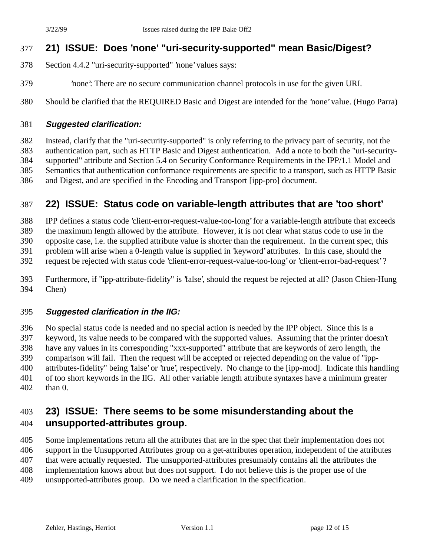# **21) ISSUE: Does 'none' "uri-security-supported" mean Basic/Digest?**

- Section 4.4.2 "uri-security-supported" 'none' values says:
- 'none': There are no secure communication channel protocols in use for the given URI.
- Should be clarified that the REQUIRED Basic and Digest are intended for the 'none' value. (Hugo Parra)

#### **Suggested clarification:**

 Instead, clarify that the "uri-security-supported" is only referring to the privacy part of security, not the authentication part, such as HTTP Basic and Digest authentication. Add a note to both the "uri-security- supported" attribute and Section 5.4 on Security Conformance Requirements in the IPP/1.1 Model and Semantics that authentication conformance requirements are specific to a transport, such as HTTP Basic and Digest, and are specified in the Encoding and Transport [ipp-pro] document.

# **22) ISSUE: Status code on variable-length attributes that are 'too short'**

IPP defines a status code 'client-error-request-value-too-long' for a variable-length attribute that exceeds

the maximum length allowed by the attribute. However, it is not clear what status code to use in the

opposite case, i.e. the supplied attribute value is shorter than the requirement. In the current spec, this

problem will arise when a 0-length value is supplied in 'keyword' attributes. In this case, should the

request be rejected with status code 'client-error-request-value-too-long' or 'client-error-bad-request' ?

 Furthermore, if "ipp-attribute-fidelity" is 'false', should the request be rejected at all? (Jason Chien-Hung Chen)

### **Suggested clarification in the IIG:**

 No special status code is needed and no special action is needed by the IPP object. Since this is a keyword, its value needs to be compared with the supported values. Assuming that the printer doesn't have any values in its corresponding "xxx-supported" attribute that are keywords of zero length, the comparison will fail. Then the request will be accepted or rejected depending on the value of "ipp- attributes-fidelity" being 'false' or 'true', respectively. No change to the [ipp-mod]. Indicate this handling of too short keywords in the IIG. All other variable length attribute syntaxes have a minimum greater than 0.

### **23) ISSUE: There seems to be some misunderstanding about the unsupported-attributes group.**

 Some implementations return all the attributes that are in the spec that their implementation does not support in the Unsupported Attributes group on a get-attributes operation, independent of the attributes that were actually requested. The unsupported-attributes presumably contains all the attributes the implementation knows about but does not support. I do not believe this is the proper use of the unsupported-attributes group. Do we need a clarification in the specification.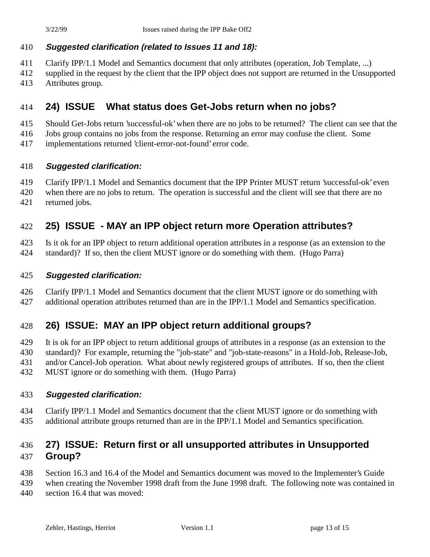### **Suggested clarification (related to Issues 11 and 18):**

- Clarify IPP/1.1 Model and Semantics document that only attributes (operation, Job Template, ...)
- supplied in the request by the client that the IPP object does not support are returned in the Unsupported Attributes group.

### **24) ISSUE What status does Get-Jobs return when no jobs?**

- Should Get-Jobs return 'successful-ok' when there are no jobs to be returned? The client can see that the
- Jobs group contains no jobs from the response. Returning an error may confuse the client. Some
- implementations returned 'client-error-not-found' error code.

#### **Suggested clarification:**

- Clarify IPP/1.1 Model and Semantics document that the IPP Printer MUST return 'successful-ok' even
- when there are no jobs to return. The operation is successful and the client will see that there are no returned jobs.

### **25) ISSUE - MAY an IPP object return more Operation attributes?**

Is it ok for an IPP object to return additional operation attributes in a response (as an extension to the

standard)? If so, then the client MUST ignore or do something with them. (Hugo Parra)

#### **Suggested clarification:**

 Clarify IPP/1.1 Model and Semantics document that the client MUST ignore or do something with additional operation attributes returned than are in the IPP/1.1 Model and Semantics specification.

### **26) ISSUE: MAY an IPP object return additional groups?**

It is ok for an IPP object to return additional groups of attributes in a response (as an extension to the

- standard)? For example, returning the "job-state" and "job-state-reasons" in a Hold-Job, Release-Job,
- and/or Cancel-Job operation. What about newly registered groups of attributes. If so, then the client
- MUST ignore or do something with them. (Hugo Parra)

### **Suggested clarification:**

- Clarify IPP/1.1 Model and Semantics document that the client MUST ignore or do something with
- additional attribute groups returned than are in the IPP/1.1 Model and Semantics specification.

# **27) ISSUE: Return first or all unsupported attributes in Unsupported Group?**

- Section 16.3 and 16.4 of the Model and Semantics document was moved to the Implementer's Guide
- when creating the November 1998 draft from the June 1998 draft. The following note was contained in section 16.4 that was moved: